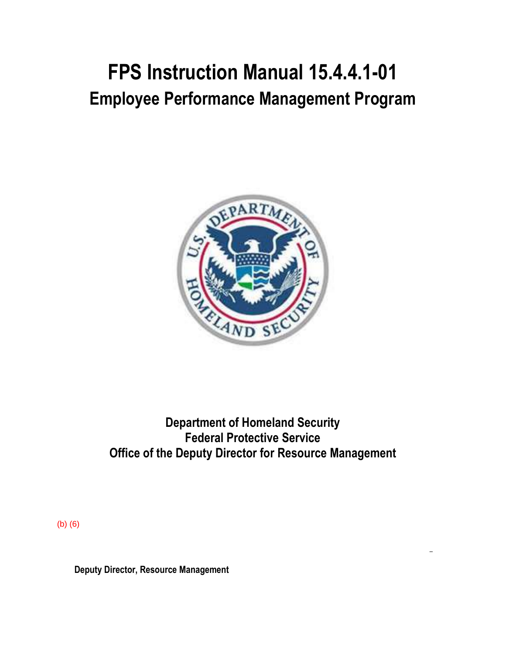# **FPS Instruction Manual 15.4.4.1-01 Employee Performance Management Program**



## **Department of Homeland Security Federal Protective Service Office of the Deputy Director for Resource Management**

(b) (6)

**Deputy Director, Resource Management**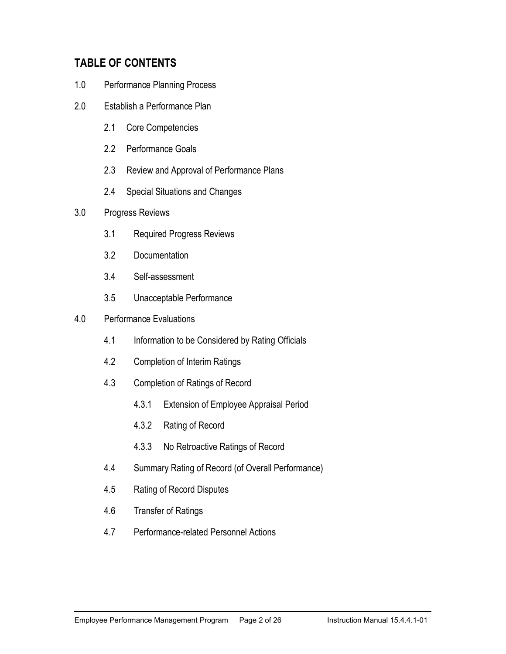#### **TABLE OF CONTENTS**

- 1.0 Performance Planning Process
- 2.0 Establish a Performance Plan
	- 2.1 Core Competencies
	- 2.2 Performance Goals
	- 2.3 Review and Approval of Performance Plans
	- 2.4 Special Situations and Changes
- 3.0 Progress Reviews
	- 3.1 Required Progress Reviews
	- 3.2 Documentation
	- 3.4 Self-assessment
	- 3.5 Unacceptable Performance
- 4.0 Performance Evaluations
	- 4.1 Information to be Considered by Rating Officials
	- 4.2 Completion of Interim Ratings
	- 4.3 Completion of Ratings of Record
		- 4.3.1 Extension of Employee Appraisal Period
		- 4.3.2 Rating of Record
		- 4.3.3 No Retroactive Ratings of Record
	- 4.4 Summary Rating of Record (of Overall Performance)
	- 4.5 Rating of Record Disputes
	- 4.6 Transfer of Ratings
	- 4.7 Performance-related Personnel Actions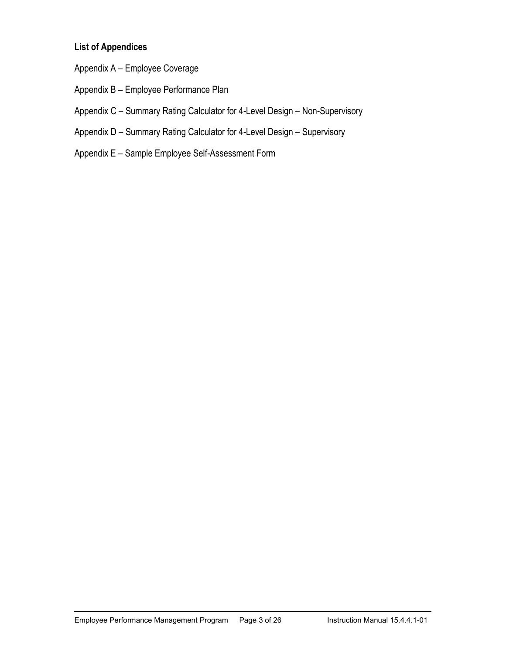#### **List of Appendices**

- Appendix A Employee Coverage
- Appendix B Employee Performance Plan
- Appendix C Summary Rating Calculator for 4-Level Design Non-Supervisory
- Appendix D Summary Rating Calculator for 4-Level Design Supervisory
- Appendix E Sample Employee Self-Assessment Form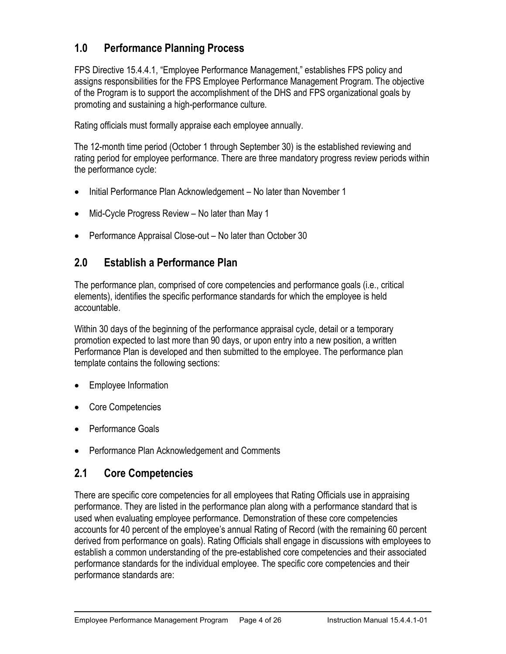#### **1.0 Performance Planning Process**

FPS Directive 15.4.4.1, "Employee Performance Management," establishes FPS policy and assigns responsibilities for the FPS Employee Performance Management Program. The objective of the Program is to support the accomplishment of the DHS and FPS organizational goals by promoting and sustaining a high-performance culture.

Rating officials must formally appraise each employee annually.

The 12-month time period (October 1 through September 30) is the established reviewing and rating period for employee performance. There are three mandatory progress review periods within the performance cycle:

- Initial Performance Plan Acknowledgement No later than November 1
- Mid-Cycle Progress Review No later than May 1
- Performance Appraisal Close-out No later than October 30

#### **2.0 Establish a Performance Plan**

The performance plan, comprised of core competencies and performance goals (i.e., critical elements), identifies the specific performance standards for which the employee is held accountable.

Within 30 days of the beginning of the performance appraisal cycle, detail or a temporary promotion expected to last more than 90 days, or upon entry into a new position, a written Performance Plan is developed and then submitted to the employee. The performance plan template contains the following sections:

- Employee Information
- Core Competencies
- Performance Goals
- Performance Plan Acknowledgement and Comments

#### **2.1 Core Competencies**

There are specific core competencies for all employees that Rating Officials use in appraising performance. They are listed in the performance plan along with a performance standard that is used when evaluating employee performance. Demonstration of these core competencies accounts for 40 percent of the employee's annual Rating of Record (with the remaining 60 percent derived from performance on goals). Rating Officials shall engage in discussions with employees to establish a common understanding of the pre-established core competencies and their associated performance standards for the individual employee. The specific core competencies and their performance standards are: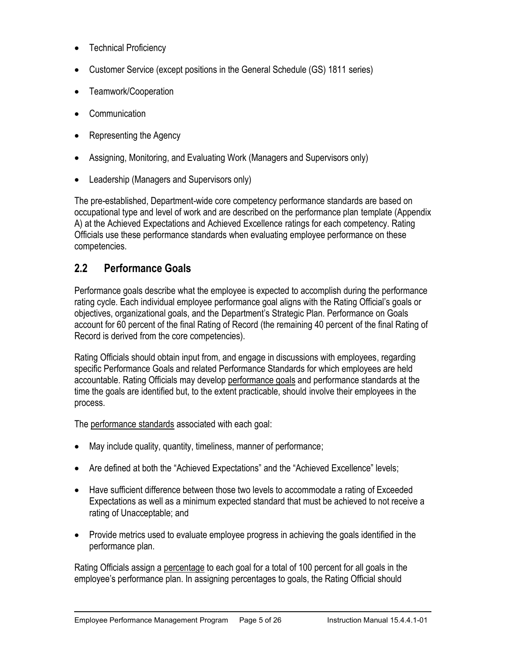- Technical Proficiency
- Customer Service (except positions in the General Schedule (GS) 1811 series)
- Teamwork/Cooperation
- Communication
- Representing the Agency
- Assigning, Monitoring, and Evaluating Work (Managers and Supervisors only)
- Leadership (Managers and Supervisors only)

The pre-established, Department-wide core competency performance standards are based on occupational type and level of work and are described on the performance plan template (Appendix A) at the Achieved Expectations and Achieved Excellence ratings for each competency. Rating Officials use these performance standards when evaluating employee performance on these competencies.

#### **2.2 Performance Goals**

Performance goals describe what the employee is expected to accomplish during the performance rating cycle. Each individual employee performance goal aligns with the Rating Official's goals or objectives, organizational goals, and the Department's Strategic Plan. Performance on Goals account for 60 percent of the final Rating of Record (the remaining 40 percent of the final Rating of Record is derived from the core competencies).

Rating Officials should obtain input from, and engage in discussions with employees, regarding specific Performance Goals and related Performance Standards for which employees are held accountable. Rating Officials may develop performance goals and performance standards at the time the goals are identified but, to the extent practicable, should involve their employees in the process.

The performance standards associated with each goal:

- May include quality, quantity, timeliness, manner of performance;
- Are defined at both the "Achieved Expectations" and the "Achieved Excellence" levels;
- Have sufficient difference between those two levels to accommodate a rating of Exceeded Expectations as well as a minimum expected standard that must be achieved to not receive a rating of Unacceptable; and
- Provide metrics used to evaluate employee progress in achieving the goals identified in the performance plan.

Rating Officials assign a percentage to each goal for a total of 100 percent for all goals in the employee's performance plan. In assigning percentages to goals, the Rating Official should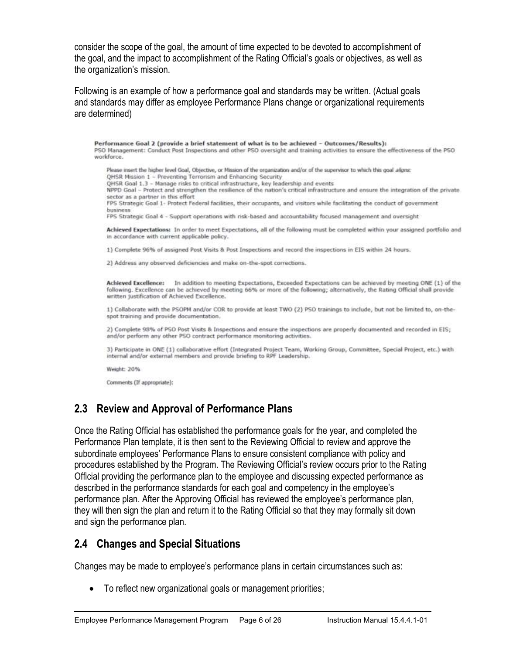consider the scope of the goal, the amount of time expected to be devoted to accomplishment of the goal, and the impact to accomplishment of the Rating Official's goals or objectives, as well as the organization's mission.

Following is an example of how a performance goal and standards may be written. (Actual goals and standards may differ as employee Performance Plans change or organizational requirements are determined)

Performance Goal 2 (provide a brief statement of what is to be achieved - Outcomes/Results): PSO Management: Conduct Post Inspections and other PSO oversight and training activities to ensure the effectiveness of the PSO workforce. Please insert the higher level Goal, Objective, or Mission of the organization and/or of the supervisor to which this goal aligns: QHSR Mission 1 - Preventing Terrorism and Enhancing Security OHSR Goal 1.3 - Manage risks to critical infrastructure, key leadership and events NPPD Goal - Protect and strengthen the resilience of the nation's critical infrastructure and ensure the integration of the private sector as a partner in this effort FPS Strategic Goal 1- Protect Federal facilities, their occupants, and visitors while facilitating the conduct of government business FPS Strategic Goal 4 - Support operations with risk-based and accountability focused management and oversight Achieved Expectations: In order to meet Expectations, all of the following must be completed within your assigned portfolio and in accordance with current applicable policy. 1) Complete 96% of assigned Post Visits & Post Inspections and record the inspections in EIS within 24 hours. 2) Address any observed deficiencies and make on-the-spot corrections. Achieved Excellence: In addition to meeting Expectations, Exceeded Expectations can be achieved by meeting ONE (1) of the following. Excellence can be achieved by meeting 66% or more of the following; alternatively, the Rating Official shall provide written justification of Achieved Excellence. 1) Collaborate with the PSOPM and/or COR to provide at least TWO (2) PSO trainings to include, but not be limited to, on-thespot training and provide documentation. 2) Complete 98% of PSO Post Visits & Inspections and ensure the inspections are properly documented and recorded in EIS; and/or perform any other PSO contract performance monitoring activities. 3) Participate in ONE (1) collaborative effort (Integrated Project Team, Working Group, Committee, Special Project, etc.) with internal and/or external members and provide briefing to RPF Leadership. Weight: 20% Comments (If appropriate):

#### **2.3 Review and Approval of Performance Plans**

Once the Rating Official has established the performance goals for the year, and completed the Performance Plan template, it is then sent to the Reviewing Official to review and approve the subordinate employees' Performance Plans to ensure consistent compliance with policy and procedures established by the Program. The Reviewing Official's review occurs prior to the Rating Official providing the performance plan to the employee and discussing expected performance as described in the performance standards for each goal and competency in the employee's performance plan. After the Approving Official has reviewed the employee's performance plan, they will then sign the plan and return it to the Rating Official so that they may formally sit down and sign the performance plan.

#### **2.4 Changes and Special Situations**

Changes may be made to employee's performance plans in certain circumstances such as:

• To reflect new organizational goals or management priorities;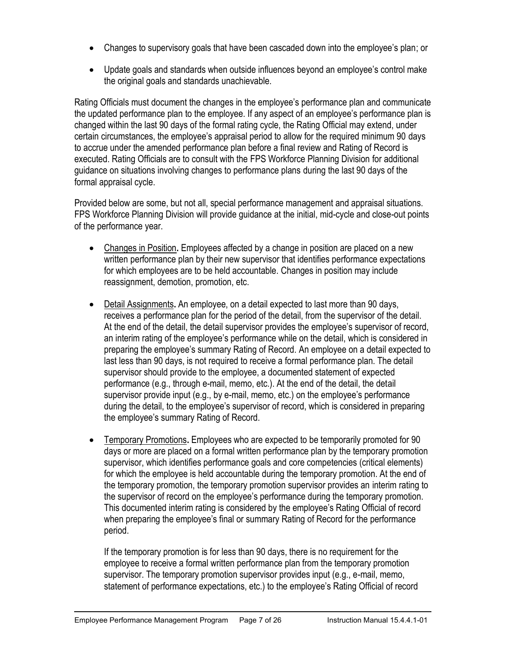- Changes to supervisory goals that have been cascaded down into the employee's plan; or
- Update goals and standards when outside influences beyond an employee's control make the original goals and standards unachievable.

Rating Officials must document the changes in the employee's performance plan and communicate the updated performance plan to the employee. If any aspect of an employee's performance plan is changed within the last 90 days of the formal rating cycle, the Rating Official may extend, under certain circumstances, the employee's appraisal period to allow for the required minimum 90 days to accrue under the amended performance plan before a final review and Rating of Record is executed. Rating Officials are to consult with the FPS Workforce Planning Division for additional guidance on situations involving changes to performance plans during the last 90 days of the formal appraisal cycle.

Provided below are some, but not all, special performance management and appraisal situations. FPS Workforce Planning Division will provide guidance at the initial, mid-cycle and close-out points of the performance year.

- Changes in Position**.** Employees affected by a change in position are placed on a new written performance plan by their new supervisor that identifies performance expectations for which employees are to be held accountable. Changes in position may include reassignment, demotion, promotion, etc.
- Detail Assignments**.** An employee, on a detail expected to last more than 90 days, receives a performance plan for the period of the detail, from the supervisor of the detail. At the end of the detail, the detail supervisor provides the employee's supervisor of record, an interim rating of the employee's performance while on the detail, which is considered in preparing the employee's summary Rating of Record. An employee on a detail expected to last less than 90 days, is not required to receive a formal performance plan. The detail supervisor should provide to the employee, a documented statement of expected performance (e.g., through e-mail, memo, etc.). At the end of the detail, the detail supervisor provide input (e.g., by e-mail, memo, etc.) on the employee's performance during the detail, to the employee's supervisor of record, which is considered in preparing the employee's summary Rating of Record.
- Temporary Promotions**.** Employees who are expected to be temporarily promoted for 90 days or more are placed on a formal written performance plan by the temporary promotion supervisor, which identifies performance goals and core competencies (critical elements) for which the employee is held accountable during the temporary promotion. At the end of the temporary promotion, the temporary promotion supervisor provides an interim rating to the supervisor of record on the employee's performance during the temporary promotion. This documented interim rating is considered by the employee's Rating Official of record when preparing the employee's final or summary Rating of Record for the performance period.

If the temporary promotion is for less than 90 days, there is no requirement for the employee to receive a formal written performance plan from the temporary promotion supervisor. The temporary promotion supervisor provides input (e.g., e-mail, memo, statement of performance expectations, etc.) to the employee's Rating Official of record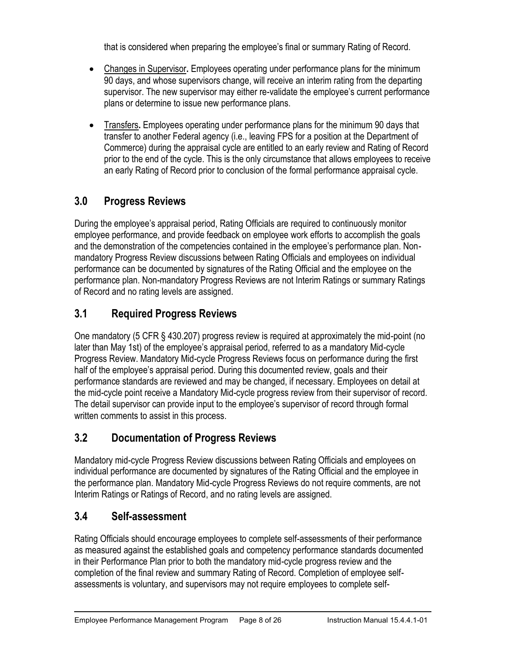that is considered when preparing the employee's final or summary Rating of Record.

- Changes in Supervisor**.** Employees operating under performance plans for the minimum 90 days, and whose supervisors change, will receive an interim rating from the departing supervisor. The new supervisor may either re-validate the employee's current performance plans or determine to issue new performance plans.
- Transfers**.** Employees operating under performance plans for the minimum 90 days that transfer to another Federal agency (i.e., leaving FPS for a position at the Department of Commerce) during the appraisal cycle are entitled to an early review and Rating of Record prior to the end of the cycle. This is the only circumstance that allows employees to receive an early Rating of Record prior to conclusion of the formal performance appraisal cycle.

### **3.0 Progress Reviews**

During the employee's appraisal period, Rating Officials are required to continuously monitor employee performance, and provide feedback on employee work efforts to accomplish the goals and the demonstration of the competencies contained in the employee's performance plan. Nonmandatory Progress Review discussions between Rating Officials and employees on individual performance can be documented by signatures of the Rating Official and the employee on the performance plan. Non-mandatory Progress Reviews are not Interim Ratings or summary Ratings of Record and no rating levels are assigned.

#### **3.1 Required Progress Reviews**

One mandatory (5 CFR § 430.207) progress review is required at approximately the mid-point (no later than May 1st) of the employee's appraisal period, referred to as a mandatory Mid-cycle Progress Review. Mandatory Mid-cycle Progress Reviews focus on performance during the first half of the employee's appraisal period. During this documented review, goals and their performance standards are reviewed and may be changed, if necessary. Employees on detail at the mid-cycle point receive a Mandatory Mid-cycle progress review from their supervisor of record. The detail supervisor can provide input to the employee's supervisor of record through formal written comments to assist in this process.

#### **3.2 Documentation of Progress Reviews**

Mandatory mid-cycle Progress Review discussions between Rating Officials and employees on individual performance are documented by signatures of the Rating Official and the employee in the performance plan. Mandatory Mid-cycle Progress Reviews do not require comments, are not Interim Ratings or Ratings of Record, and no rating levels are assigned.

#### **3.4 Self-assessment**

Rating Officials should encourage employees to complete self-assessments of their performance as measured against the established goals and competency performance standards documented in their Performance Plan prior to both the mandatory mid-cycle progress review and the completion of the final review and summary Rating of Record. Completion of employee selfassessments is voluntary, and supervisors may not require employees to complete self-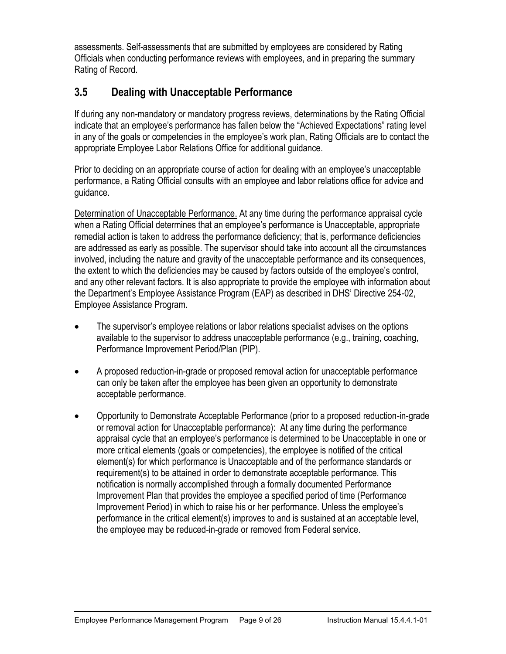assessments. Self-assessments that are submitted by employees are considered by Rating Officials when conducting performance reviews with employees, and in preparing the summary Rating of Record.

### **3.5 Dealing with Unacceptable Performance**

If during any non-mandatory or mandatory progress reviews, determinations by the Rating Official indicate that an employee's performance has fallen below the "Achieved Expectations" rating level in any of the goals or competencies in the employee's work plan, Rating Officials are to contact the appropriate Employee Labor Relations Office for additional guidance.

Prior to deciding on an appropriate course of action for dealing with an employee's unacceptable performance, a Rating Official consults with an employee and labor relations office for advice and guidance.

Determination of Unacceptable Performance. At any time during the performance appraisal cycle when a Rating Official determines that an employee's performance is Unacceptable, appropriate remedial action is taken to address the performance deficiency; that is, performance deficiencies are addressed as early as possible. The supervisor should take into account all the circumstances involved, including the nature and gravity of the unacceptable performance and its consequences, the extent to which the deficiencies may be caused by factors outside of the employee's control, and any other relevant factors. It is also appropriate to provide the employee with information about the Department's Employee Assistance Program (EAP) as described in DHS' Directive 254-02, Employee Assistance Program.

- The supervisor's employee relations or labor relations specialist advises on the options available to the supervisor to address unacceptable performance (e.g., training, coaching, Performance Improvement Period/Plan (PIP).
- A proposed reduction-in-grade or proposed removal action for unacceptable performance can only be taken after the employee has been given an opportunity to demonstrate acceptable performance.
- Opportunity to Demonstrate Acceptable Performance (prior to a proposed reduction-in-grade or removal action for Unacceptable performance): At any time during the performance appraisal cycle that an employee's performance is determined to be Unacceptable in one or more critical elements (goals or competencies), the employee is notified of the critical element(s) for which performance is Unacceptable and of the performance standards or requirement(s) to be attained in order to demonstrate acceptable performance. This notification is normally accomplished through a formally documented Performance Improvement Plan that provides the employee a specified period of time (Performance Improvement Period) in which to raise his or her performance. Unless the employee's performance in the critical element(s) improves to and is sustained at an acceptable level, the employee may be reduced-in-grade or removed from Federal service.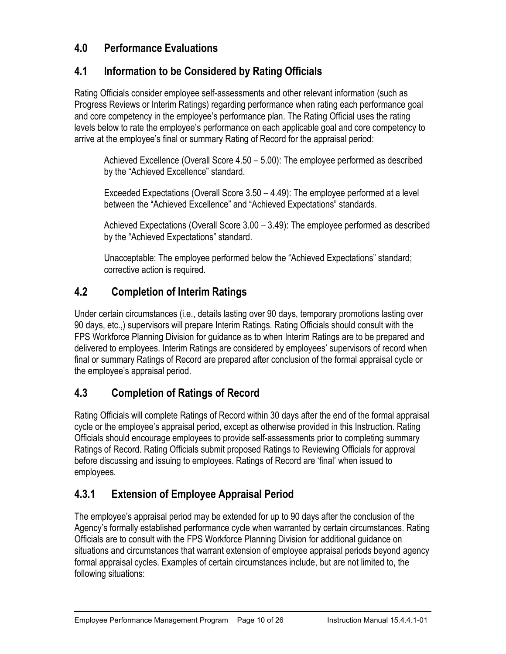#### **4.0 Performance Evaluations**

#### **4.1 Information to be Considered by Rating Officials**

Rating Officials consider employee self-assessments and other relevant information (such as Progress Reviews or Interim Ratings) regarding performance when rating each performance goal and core competency in the employee's performance plan. The Rating Official uses the rating levels below to rate the employee's performance on each applicable goal and core competency to arrive at the employee's final or summary Rating of Record for the appraisal period:

Achieved Excellence (Overall Score 4.50 – 5.00): The employee performed as described by the "Achieved Excellence" standard.

Exceeded Expectations (Overall Score 3.50 – 4.49): The employee performed at a level between the "Achieved Excellence" and "Achieved Expectations" standards.

Achieved Expectations (Overall Score 3.00 – 3.49): The employee performed as described by the "Achieved Expectations" standard.

Unacceptable: The employee performed below the "Achieved Expectations" standard; corrective action is required.

#### **4.2 Completion of Interim Ratings**

Under certain circumstances (i.e., details lasting over 90 days, temporary promotions lasting over 90 days, etc.,) supervisors will prepare Interim Ratings. Rating Officials should consult with the FPS Workforce Planning Division for guidance as to when Interim Ratings are to be prepared and delivered to employees. Interim Ratings are considered by employees' supervisors of record when final or summary Ratings of Record are prepared after conclusion of the formal appraisal cycle or the employee's appraisal period.

#### **4.3 Completion of Ratings of Record**

Rating Officials will complete Ratings of Record within 30 days after the end of the formal appraisal cycle or the employee's appraisal period, except as otherwise provided in this Instruction. Rating Officials should encourage employees to provide self-assessments prior to completing summary Ratings of Record. Rating Officials submit proposed Ratings to Reviewing Officials for approval before discussing and issuing to employees. Ratings of Record are 'final' when issued to employees.

### **4.3.1 Extension of Employee Appraisal Period**

The employee's appraisal period may be extended for up to 90 days after the conclusion of the Agency's formally established performance cycle when warranted by certain circumstances. Rating Officials are to consult with the FPS Workforce Planning Division for additional guidance on situations and circumstances that warrant extension of employee appraisal periods beyond agency formal appraisal cycles. Examples of certain circumstances include, but are not limited to, the following situations: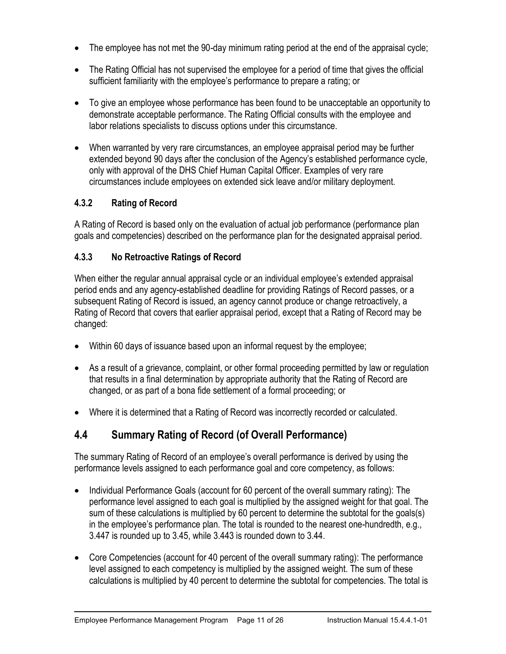- The employee has not met the 90-day minimum rating period at the end of the appraisal cycle;
- The Rating Official has not supervised the employee for a period of time that gives the official sufficient familiarity with the employee's performance to prepare a rating; or
- To give an employee whose performance has been found to be unacceptable an opportunity to demonstrate acceptable performance. The Rating Official consults with the employee and labor relations specialists to discuss options under this circumstance.
- When warranted by very rare circumstances, an employee appraisal period may be further extended beyond 90 days after the conclusion of the Agency's established performance cycle, only with approval of the DHS Chief Human Capital Officer. Examples of very rare circumstances include employees on extended sick leave and/or military deployment.

#### **4.3.2 Rating of Record**

A Rating of Record is based only on the evaluation of actual job performance (performance plan goals and competencies) described on the performance plan for the designated appraisal period.

#### **4.3.3 No Retroactive Ratings of Record**

When either the regular annual appraisal cycle or an individual employee's extended appraisal period ends and any agency-established deadline for providing Ratings of Record passes, or a subsequent Rating of Record is issued, an agency cannot produce or change retroactively, a Rating of Record that covers that earlier appraisal period, except that a Rating of Record may be changed:

- Within 60 days of issuance based upon an informal request by the employee;
- As a result of a grievance, complaint, or other formal proceeding permitted by law or regulation that results in a final determination by appropriate authority that the Rating of Record are changed, or as part of a bona fide settlement of a formal proceeding; or
- Where it is determined that a Rating of Record was incorrectly recorded or calculated.

### **4.4 Summary Rating of Record (of Overall Performance)**

The summary Rating of Record of an employee's overall performance is derived by using the performance levels assigned to each performance goal and core competency, as follows:

- Individual Performance Goals (account for 60 percent of the overall summary rating): The performance level assigned to each goal is multiplied by the assigned weight for that goal. The sum of these calculations is multiplied by 60 percent to determine the subtotal for the goals(s) in the employee's performance plan. The total is rounded to the nearest one-hundredth, e.g., 3.447 is rounded up to 3.45, while 3.443 is rounded down to 3.44.
- Core Competencies (account for 40 percent of the overall summary rating): The performance level assigned to each competency is multiplied by the assigned weight. The sum of these calculations is multiplied by 40 percent to determine the subtotal for competencies. The total is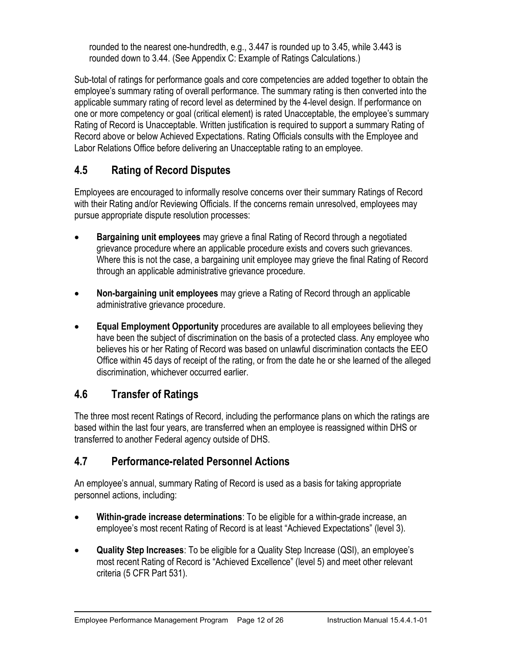rounded to the nearest one-hundredth, e.g., 3.447 is rounded up to 3.45, while 3.443 is rounded down to 3.44. (See Appendix C: Example of Ratings Calculations.)

Sub-total of ratings for performance goals and core competencies are added together to obtain the employee's summary rating of overall performance. The summary rating is then converted into the applicable summary rating of record level as determined by the 4-level design. If performance on one or more competency or goal (critical element) is rated Unacceptable, the employee's summary Rating of Record is Unacceptable. Written justification is required to support a summary Rating of Record above or below Achieved Expectations. Rating Officials consults with the Employee and Labor Relations Office before delivering an Unacceptable rating to an employee.

### **4.5 Rating of Record Disputes**

Employees are encouraged to informally resolve concerns over their summary Ratings of Record with their Rating and/or Reviewing Officials. If the concerns remain unresolved, employees may pursue appropriate dispute resolution processes:

- **Bargaining unit employees** may grieve a final Rating of Record through a negotiated grievance procedure where an applicable procedure exists and covers such grievances. Where this is not the case, a bargaining unit employee may grieve the final Rating of Record through an applicable administrative grievance procedure.
- **Non-bargaining unit employees** may grieve a Rating of Record through an applicable administrative grievance procedure.
- **Equal Employment Opportunity** procedures are available to all employees believing they have been the subject of discrimination on the basis of a protected class. Any employee who believes his or her Rating of Record was based on unlawful discrimination contacts the EEO Office within 45 days of receipt of the rating, or from the date he or she learned of the alleged discrimination, whichever occurred earlier.

### **4.6 Transfer of Ratings**

The three most recent Ratings of Record, including the performance plans on which the ratings are based within the last four years, are transferred when an employee is reassigned within DHS or transferred to another Federal agency outside of DHS.

#### **4.7 Performance-related Personnel Actions**

An employee's annual, summary Rating of Record is used as a basis for taking appropriate personnel actions, including:

- **Within-grade increase determinations**: To be eligible for a within-grade increase, an employee's most recent Rating of Record is at least "Achieved Expectations" (level 3).
- **Quality Step Increases**: To be eligible for a Quality Step Increase (QSI), an employee's most recent Rating of Record is "Achieved Excellence" (level 5) and meet other relevant criteria (5 CFR Part 531).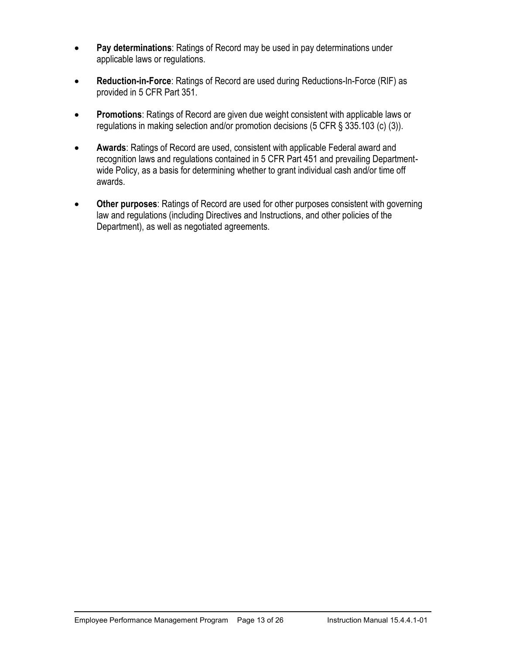- **Pay determinations**: Ratings of Record may be used in pay determinations under applicable laws or regulations.
- **Reduction-in-Force**: Ratings of Record are used during Reductions-In-Force (RIF) as provided in 5 CFR Part 351.
- **Promotions**: Ratings of Record are given due weight consistent with applicable laws or regulations in making selection and/or promotion decisions (5 CFR § 335.103 (c) (3)).
- **Awards**: Ratings of Record are used, consistent with applicable Federal award and recognition laws and regulations contained in 5 CFR Part 451 and prevailing Departmentwide Policy, as a basis for determining whether to grant individual cash and/or time off awards.
- **Other purposes**: Ratings of Record are used for other purposes consistent with governing law and regulations (including Directives and Instructions, and other policies of the Department), as well as negotiated agreements.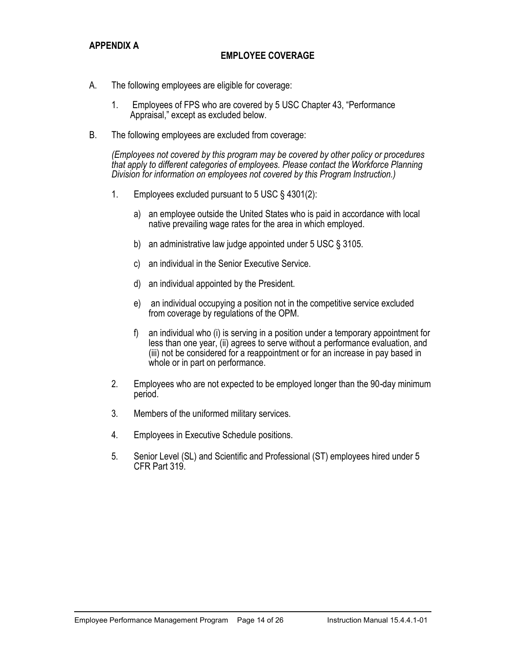#### **APPENDIX A**

#### **EMPLOYEE COVERAGE**

- A. The following employees are eligible for coverage:
	- 1. Employees of FPS who are covered by 5 USC Chapter 43, "Performance Appraisal," except as excluded below.
- B. The following employees are excluded from coverage:

*(Employees not covered by this program may be covered by other policy or procedures that apply to different categories of employees. Please contact the Workforce Planning Division for information on employees not covered by this Program Instruction.)*

- 1. Employees excluded pursuant to 5 USC § 4301(2):
	- a) an employee outside the United States who is paid in accordance with local native prevailing wage rates for the area in which employed.
	- b) an administrative law judge appointed under 5 USC § 3105.
	- c) an individual in the Senior Executive Service.
	- d) an individual appointed by the President.
	- e) an individual occupying a position not in the competitive service excluded from coverage by regulations of the OPM.
	- f) an individual who (i) is serving in a position under a temporary appointment for less than one year, (ii) agrees to serve without a performance evaluation, and (iii) not be considered for a reappointment or for an increase in pay based in whole or in part on performance.
- 2. Employees who are not expected to be employed longer than the 90-day minimum period.
- 3. Members of the uniformed military services.
- 4. Employees in Executive Schedule positions.
- 5. Senior Level (SL) and Scientific and Professional (ST) employees hired under 5 CFR Part 319.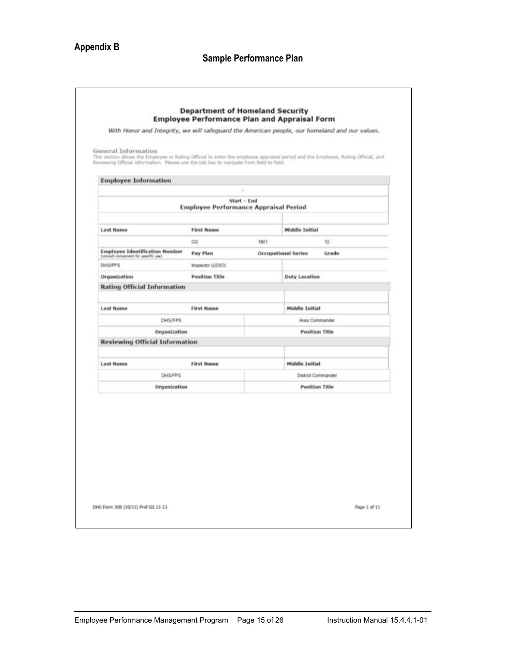### **Appendix B**

| <b>Employee Information</b>                                                    |                                              | ×           |                                     |
|--------------------------------------------------------------------------------|----------------------------------------------|-------------|-------------------------------------|
|                                                                                | <b>Employee Performance Appraisal Period</b> | Start - End |                                     |
|                                                                                |                                              |             |                                     |
| <b>Last Name</b>                                                               | <b>First Name</b>                            |             | <b>Middle Initial</b>               |
|                                                                                | GS                                           | 1801        | 12                                  |
| <b>Employee Identification Number</b><br>(standard component for specific you) | <b>Pay Plan</b>                              |             | Grade<br><b>Occupational Series</b> |
| DHS/FPS                                                                        | Inspector (LESO).                            |             |                                     |
| Organization                                                                   | <b>Position Title</b>                        |             | <b>Duty Location</b>                |
| <b>Rating Official Information</b>                                             |                                              |             |                                     |
| <b>Last Name</b>                                                               | <b>First Name</b>                            |             | Middle Initial                      |
|                                                                                | DHS/FPS                                      |             | Area Commander                      |
|                                                                                | Organization                                 |             | Position Title                      |
| <b>Reviewing Official Information</b>                                          |                                              |             |                                     |
|                                                                                |                                              |             |                                     |
| <b>Lost Name</b>                                                               | <b>First Name</b>                            |             | Middle Initial                      |
|                                                                                | <b>DHS/FPS</b>                               |             | District Commander                  |
|                                                                                | Organization                                 |             | <b>Position Title</b>               |
|                                                                                |                                              |             |                                     |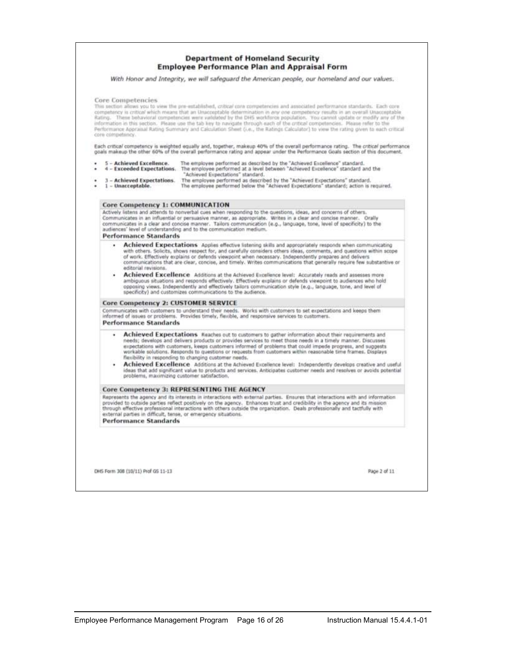#### **Department of Homeland Security Employee Performance Plan and Appraisal Form**

With Honor and Integrity, we will safeguard the American people, our homeland and our values.

#### Core Competencies

This section allows you to view the pre-established, critical core competencies and associated performance standards. Each core competency is critical which means that an Unacceptable determination in any one competency results in an overall Unacceptable These behavioral competencies were validated by the DHS workforce population. You cannot update or modify any of the information in this section. Please use the tab key to navigate through such of the critical competencies. Please refer to the<br>Performance Appraisal Rating Summary and Calculation Sheet (i.e., the Ratings Calculator) to vi core competency

Each critical competency is weighted equally and, together, makeup 40% of the overall performance rating. The critical performance goals makeup the other 60% of the overall performance rating and appear under the Performance Goals section of this document.

- 5 Achieved Excellence. The employee performed as described by the "Achieved Excellence" standard.<br>4 Exceeded Expectations. The employee performed at a level between "Achieved Excellence" standard and the ٠ "Achieved Expectations" standard.
- The employee performed as described by the "Achieved Expectations" standard.<br>The employee performed below the "Achieved Expectations" standard; action is required. **Achieved Expectations.**  $1 - Unacceptedable.$

#### Core Competency 1: COMMUNICATION

Actively listens and attends to nonverbal cues when responding to the questions, ideas, and concerns of others.<br>Communicates in an influential or persuasive manner, as appropriate. Writes in a clear and concise manner. Ora **Performance Standards** 

- . Achieved Expectations Apples effective listening skills and appropriately responds when communicating **ACTIVE AND ACTIVITY AND ACTIVITY AND ACTIVITY OF A CONSUMPTION** CONTROL AND THE UNIVERSITY CONDUCTS. SOLID AND THE UNIVERSITY OF THE UNIVERSITY OF THE UNIVERSITY OF THE UNIVERSITY OF THE UNIVERSITY OF THE UNIVERSITY OF TH editorial revisions.
- Achieved Excellence Additions at the Achieved Excellence level: Accurately reads and assesses more ambiguous situations and responds effectively. Effectively explains or defends viewpoint to audiences who hold opposing views. Independently and effectively tailors communication style (e.g., language, tone, and level of<br>specificity) and customizes communications to the audience.

#### Core Competency 2: CUSTOMER SERVICE

Communicates with customers to understand their needs. Works with customers to set expectations and keeps them<br>informed of issues or problems. Provides timely, flexible, and responsive services to customers.

#### **Performance Standards**

- Achieved Expectations Reaches out to customers to gather information about their requirements and needs; develops and delivers products or provides services to meet those needs in a timely manner. Discusses expectations with customers, keeps customers informed of problems that could impede progress, and suggests workable solutions. Responds to questions or requests from customers within reasonable time frames. Displays flexibility in responding to changing customer needs.
- Achieved Excellence Additions at the Achieved Excellence level: Independently develops creative and useful ideas that add significant value to products and services. Anticipates customer needs and resolves or avoids potential problems, maximizing customer satisfaction,

#### Core Competency 3: REPRESENTING THE AGENCY

Represents the agency and its interests in interactions with external parties. Ensures that interactions with and information provided to outside parties reflect positively on the agency. Enhances trust and credibility in the agency and its mission<br>through effective professional interactions with others outside the organization. Deals professiona external parties in difficult, tense, or emergency situations.

**Performance Standards** 

DHS Form 308 (10/11) Prof GS 11-13

Page 2 of 11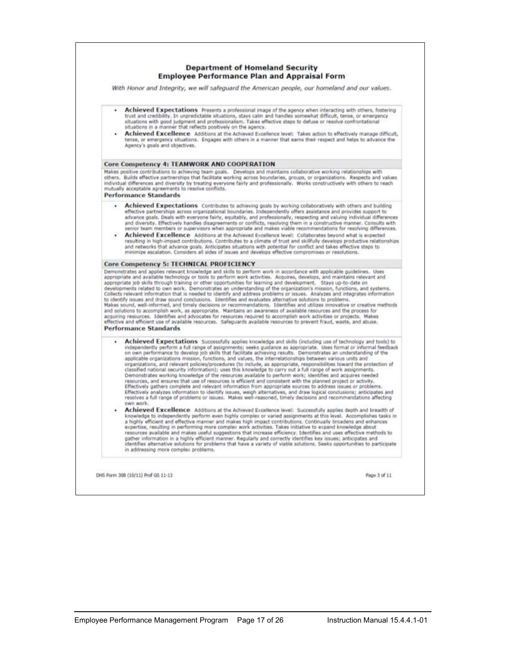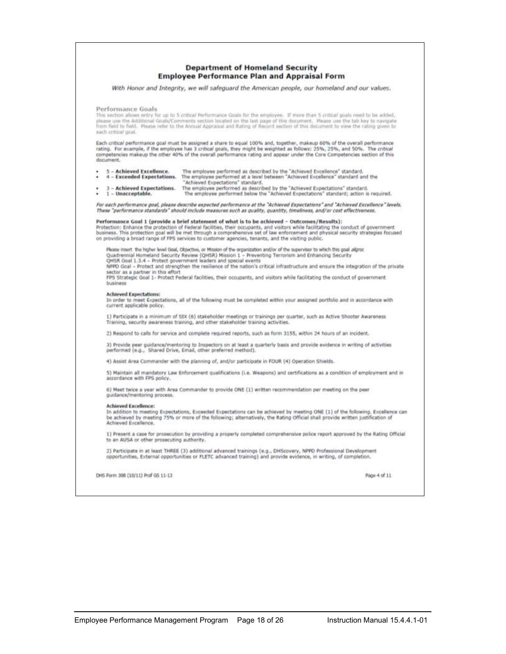|                                                                                                                       | <b>Department of Homeland Security</b><br><b>Employee Performance Plan and Appraisal Form</b>                                                                                                                                                                                                                                                                                                                                                                                                                                                                                         |  |
|-----------------------------------------------------------------------------------------------------------------------|---------------------------------------------------------------------------------------------------------------------------------------------------------------------------------------------------------------------------------------------------------------------------------------------------------------------------------------------------------------------------------------------------------------------------------------------------------------------------------------------------------------------------------------------------------------------------------------|--|
|                                                                                                                       | With Honor and Integrity, we will safeguard the American people, our homeland and our values.                                                                                                                                                                                                                                                                                                                                                                                                                                                                                         |  |
| Performance Goals<br>mach enticed goal.                                                                               | This section allows entry for up to 5 cobical Performance Goals for the employee. If more than 5 critical goals need to be added,<br>please use the Additional Goals/Comments section located on the last page of this document. Please use the tab key to navigate<br>from field to field. Please refer to the Annual Appraisal and Rating of Record section of this document to view the rating given to                                                                                                                                                                            |  |
| document.                                                                                                             | Each critical performance goal must be assigned a share to equal 100% and, together, makeup 60% of the overall performance<br>rating. For example, if the employee has 3 critical goals, they might be weighted as follows: 25%, 25%, and 50%. The critical<br>competencies makeup the other 40% of the overall performance rating and appear under the Core Competencies section of this                                                                                                                                                                                             |  |
| 5 - Achieved Excellence.<br>4 - Exceeded Expectations.<br>3 - Achieved Expectations.<br>٠<br>$1 - Unacceptable.$<br>٠ | The employee performed as described by the "Achieved Excellence" standard.<br>The employee performed at a level between "Achieved Excellence" standard and the<br>"Achieved Expectations" standard.<br>The employee performed as described by the "Achieved Expectations" standard.<br>The employee performed below the "Achieved Expectations" standard; action is required.                                                                                                                                                                                                         |  |
|                                                                                                                       | For each performance goal, please describe expected performance at the "Achieved Expectations" and "Achieved Excellence" levels.<br>These "performance standards" should include measures such as quality, quantity, timeliness, and/or cost effectiveness.                                                                                                                                                                                                                                                                                                                           |  |
|                                                                                                                       | :(Performance Goal 1 (provide a brief statement of what is to be achieved - Outcomes/Results<br>Protection: Enhance the protection of Federal facilities, their occupants, and visitors while facilitating the conduct of government<br>business. This protection goal will be met through a comprehensive set of law enforcement and physical security strategies focused<br>on providing a broad range of FPS services to customer agencies, tenants, and the visiting public.                                                                                                      |  |
| sector as a partner in this effort.<br>business                                                                       | Please Insert: the higher level Goal, Objective, or Mission of the organization and/or of the supervisor to which this goal aligns:<br>Quadrennial Homeland Security Review (QHSR) Mission 1 - Preventing Terrorism and Enhancing Security<br>QHSR Goal 1.3.4 - Protect government leaders and special events<br>NPPO Goal - Protect and strengthen the resilience of the nation's critical infrastructure and ensure the integration of the private<br>FPS Strategic Goal 1- Protect Federal facilities, their occupants, and visitors while facilitating the conduct of government- |  |
| <b>Achieved Expectations:</b><br>current applicable policy,                                                           | In order to meet Expectations, all of the following must be completed within your assigned portfolio and in accordance with                                                                                                                                                                                                                                                                                                                                                                                                                                                           |  |
|                                                                                                                       | 1) Participate in a minimum of SIX (6) stakeholder meetings or trainings per quarter, such as Active Shooter Awareness<br>Training, security awareness training, and other stakeholder training activities.                                                                                                                                                                                                                                                                                                                                                                           |  |
|                                                                                                                       | 2) Respond to calls for service and complete required reports, such as form 3155, within 24 hours of an incident.                                                                                                                                                                                                                                                                                                                                                                                                                                                                     |  |
|                                                                                                                       | 3) Provide peer guidance/mentoring to Inspectors on at least a quarterly basis and provide evidence in writing of activities<br>performed (e.g., Shared Drive, Email, other preferred method).                                                                                                                                                                                                                                                                                                                                                                                        |  |
|                                                                                                                       | 4) Assist Area Commander with the planning of, and/or participate in FOUR (4) Operation Shields.                                                                                                                                                                                                                                                                                                                                                                                                                                                                                      |  |
| accordance with FPS policy.                                                                                           | 5) Maintain all mandatory Law Enforcement qualifications (i.e. Weapons) and certifications as a condition of employment and in                                                                                                                                                                                                                                                                                                                                                                                                                                                        |  |
| guidance/mentoring process.                                                                                           | 6) Meet twice a year with Area Commander to provide ONE (1) written recommendation per meeting on the peer                                                                                                                                                                                                                                                                                                                                                                                                                                                                            |  |
| <b>Achieved Excellence:</b><br>Achieved Encellence.                                                                   | In addition to meeting Expectations, Exceeded Expectations can be achieved by meeting ONE (1) of the following, Excellence can<br>be achieved by meeting 75% or more of the following; alternatively, the Itating Official shall provide written justification of                                                                                                                                                                                                                                                                                                                     |  |
| to an AUSA or other prosecuting authority.                                                                            | 1) Present a case for prosecution by providing a properly completed comprehensive police report approved by the Rating Official                                                                                                                                                                                                                                                                                                                                                                                                                                                       |  |
|                                                                                                                       | 2) Participate in at least THREE (3) additional advanced trainings (e.g., DHScovery, NPPD Professional Development<br>opportunities, External opportunities or FLETC advanced training) and provide evidence, in writing, of completion.                                                                                                                                                                                                                                                                                                                                              |  |
|                                                                                                                       |                                                                                                                                                                                                                                                                                                                                                                                                                                                                                                                                                                                       |  |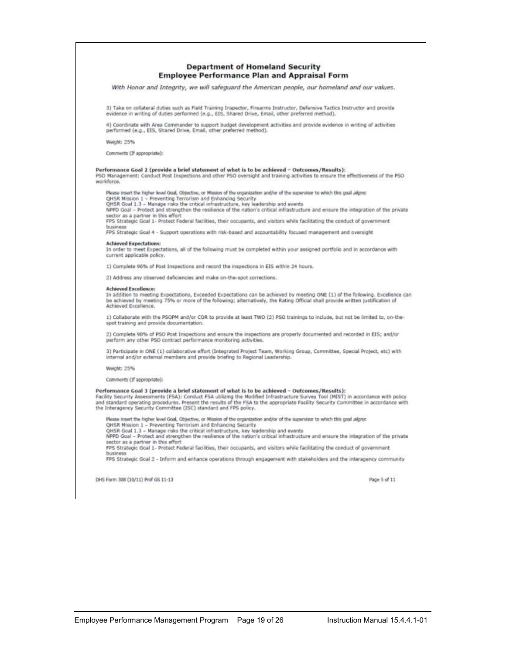| <b>Employee Performance Plan and Appraisal Form</b>                                                                                                                                                                                                                                                                                                                                                                                             |
|-------------------------------------------------------------------------------------------------------------------------------------------------------------------------------------------------------------------------------------------------------------------------------------------------------------------------------------------------------------------------------------------------------------------------------------------------|
| With Honor and Integrity, we will safeguard the American people, our homeland and our values.                                                                                                                                                                                                                                                                                                                                                   |
| 3) Take on collateral duties such as Field Training Inspector, Firearms Instructor, Defensive Tactics Instructor and provide<br>evidence in writing of duties performed (e.g., EIS, Shared Drive, Email, other preferred method).                                                                                                                                                                                                               |
| 4) Coordinate with Area Commander to support budget development activities and provide evidence in writing of activities<br>performed (e.g., EIS, Shared Drive, Email, other preferred method).                                                                                                                                                                                                                                                 |
| Weight: 25%                                                                                                                                                                                                                                                                                                                                                                                                                                     |
| Comments (If appropriate):                                                                                                                                                                                                                                                                                                                                                                                                                      |
| Performance Goal 2 (provide a brief statement of what is to be achieved - Outcomes/Results):<br>PSO Management: Conduct Post Inspections and other PSO oversight and training activities to ensure the effectiveness of the PSO<br>waridorce.                                                                                                                                                                                                   |
| Please insert the higher level Goal, Objective, or Mission of the organization and/or of the supervisor to which this goal aligns:                                                                                                                                                                                                                                                                                                              |
| QH5R Mission 1 - Preventing Terrorism and Enhancing Security<br>QHSR Goal 1.3 - Manage risks the critical infrastructure, key leadership and events                                                                                                                                                                                                                                                                                             |
| NPPD Goal - Protect and strengthen the resilience of the nation's critical infrastructure and ensure the integration of the private<br>sector as a partner in this effort                                                                                                                                                                                                                                                                       |
| FPS Strategic Goal 1- Protect Federal facilities, their occupants, and visitors while facilitating the conduct of government<br>business                                                                                                                                                                                                                                                                                                        |
| FPS Strategic Goal 4 - Support operations with risk-based and accountability focused management and oversight                                                                                                                                                                                                                                                                                                                                   |
| <b>Achieved Expectations:</b><br>In order to meet Expectations, all of the following must be completed within your assigned portfolio and in accordance with<br>current applicable policy.                                                                                                                                                                                                                                                      |
| 1) Complete 96% of Post Inspections and record the inspections in EIS within 24 hours.                                                                                                                                                                                                                                                                                                                                                          |
| 2) Address any observed deficiencies and make on-the-spot corrections.                                                                                                                                                                                                                                                                                                                                                                          |
| Achieved Excellence:<br>In addition to meeting Expectations, Exceeded Expectations can be achieved by meeting ONE (1) of the following. Excellence can<br>be achieved by meeting 75% or more of the following; alternatively, the Rating Official shall provide written justification of<br>Achieved Excellence.                                                                                                                                |
| 1) Collaborate with the PSOPM and/or COR to provide at least TWO (2) PSO trainings to include, but not be limited to, on-the-<br>spot training and provide documentation.                                                                                                                                                                                                                                                                       |
| 2) Complete 98% of PSO Post Inspections and ensure the inspections are properly documented and recorded in EIS; and/or<br>perform any other PSD contract performance monitoring activities.                                                                                                                                                                                                                                                     |
| 3) Participate in ONE (1) collaborative effort (Integrated Project Team, Working Group, Committee, Special Project, etc) with<br>internal and/or external members and provide briefing to Regional Leadership.                                                                                                                                                                                                                                  |
| Weight: 25%                                                                                                                                                                                                                                                                                                                                                                                                                                     |
| Comments (If appropriate):                                                                                                                                                                                                                                                                                                                                                                                                                      |
| Performance Goal 3 (provide a brief statement of what is to be achieved - Outcomes/Results):<br>Facility Security Assessments (FSA): Conduct FSA utilizing the Modified Infrastructure Survey Tool (MIST) in accordance with policy<br>and standard operating procedures. Present the results of the FSA to the appropriate Facility Security Committee in accordance with<br>the Interagency Security Committee (ISC) standard and FPS policy. |
| Please insurt the higher level Goal, Objective, or Mission of the organization and/or of the supervisor to which this goal aligns:<br>QHSR Mission 1 - Preventing Terrorism and Enhancing Security<br>QHSR Goal 1.3 - Manage risks the critical infrastructure, key leadership and events<br>NPPD Goal - Protect and strengthen the resilience of the nation's critical infrastructure and ensure the integration of the private                |
| sector as a partner in this effort<br>FPS Strategic Goal 1- Protect Federal facilities, their occupants, and visitors while facilitating the conduct of government                                                                                                                                                                                                                                                                              |
| business.<br>FPS Strategic Goal 2 - Inform and enhance operations through engagement with stakeholders and the interagency community                                                                                                                                                                                                                                                                                                            |
| DHS Form 308 (10/11) Prof GS 11-13<br>Page 5 of 11                                                                                                                                                                                                                                                                                                                                                                                              |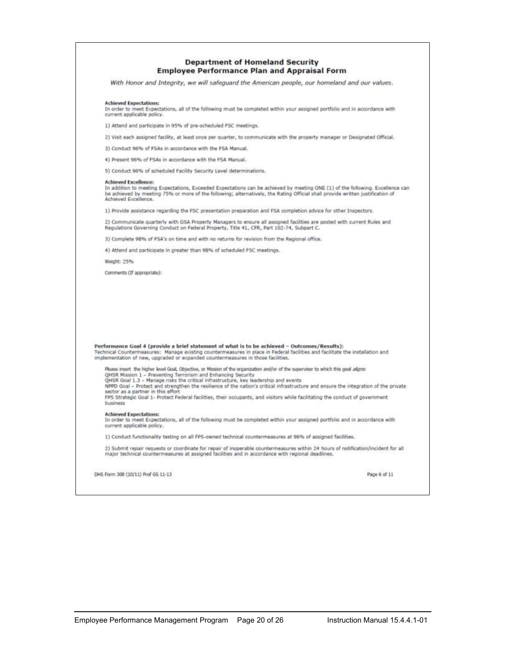| <b>Department of Homeland Security</b>              |  |
|-----------------------------------------------------|--|
| <b>Employee Performance Plan and Appraisal Form</b> |  |

With Honor and Integrity, we will safeguard the American people, our homeland and our values.

#### **Achieved Expectations:**

In order to meet Expectations, all of the following must be completed within your assigned portfolio and in accordance with<br>current applicable policy.

1) Attend and participate in 95% of pre-scheduled PSC meetings.

2) Visit each assigned facility, at least once per quarter, to communicate with the property manager or Designated Official.

3) Conduct 96% of FSAs in accordance with the FSA Manual.

4) Present 96% of FSAs in accordance with the FSA Manual.

5) Conduct 96% of scheduled Facility Security Level determinations.

Achieved Excellence:<br>In addition to meeting Expectations, Exceeded Expectations can be achieved by meeting ONE (1) of the following. Excellence can be achieved by meeting 75% or more of the following; alternatively, the Rating Official shall provide written justification of<br>Achieved Excellence.

1) Provide assistance regarding the FSC presentation preparation and FSA completion advice for other Inspectors.

2) Communicate quarterly with GSA Property Managers to ensure all assigned facilities are posted with current Rules and<br>Regulations Governing Conduct on Federal Property, Title 41, CFR, Part 102-74, Subpart C.

3) Complete 98% of FSA's on time and with no returns for revision from the Regional office.

4) Attend and participate in greater than 98% of scheduled FSC meetings.

Weight: 25%

Comments (If appropriate):

| Performance Goal 4 (provide a brief statement of what is to be achieved - Outcomes/Results):<br>Technical Countermeasures: Manage existing countermeasures in place in Federal facilities and facilitate the installation and<br>implementation of new, upgraded or expanded countermeasures in those facilities.                                                                                                                                                                                                                                                                                                  |              |
|--------------------------------------------------------------------------------------------------------------------------------------------------------------------------------------------------------------------------------------------------------------------------------------------------------------------------------------------------------------------------------------------------------------------------------------------------------------------------------------------------------------------------------------------------------------------------------------------------------------------|--------------|
| Please insert the higher level Goal, Objective, or Mission of the organization and/or of the supervisor to which this goal aligns:<br>OHSR Mission 1 - Preventing Terrorism and Enhancing Security<br>QHSR Goal 1.3 - Manage risks the critical infrastructure, key leadership and events<br>NPPD Goal - Protect and strengthen the resilience of the nation's critical infrastructure and ensure the integration of the private<br>sector as a partner in this effort<br>FPS Strategic Goal 1- Protect Federal facilities, their occupants, and visitors while facilitating the conduct of government<br>business |              |
| <b>Achieved Expectations:</b><br>In order to meet Expectations, all of the following must be completed within your assigned portfolio and in accordance with<br>current applicable policy.                                                                                                                                                                                                                                                                                                                                                                                                                         |              |
| 1) Conduct functionality testing on all FPS-owned technical countermeasures at 96% of assigned facilities.                                                                                                                                                                                                                                                                                                                                                                                                                                                                                                         |              |
| 2) Submit repair requests or coordinate for repair of inoperable countermeasures within 24 hours of notification/incident for all<br>major technical countermeasures at assigned facilities and in accordance with regional deadlines.                                                                                                                                                                                                                                                                                                                                                                             |              |
| DHS Form 308 (10/11) Prof GS 11-13                                                                                                                                                                                                                                                                                                                                                                                                                                                                                                                                                                                 | Page 6 of 11 |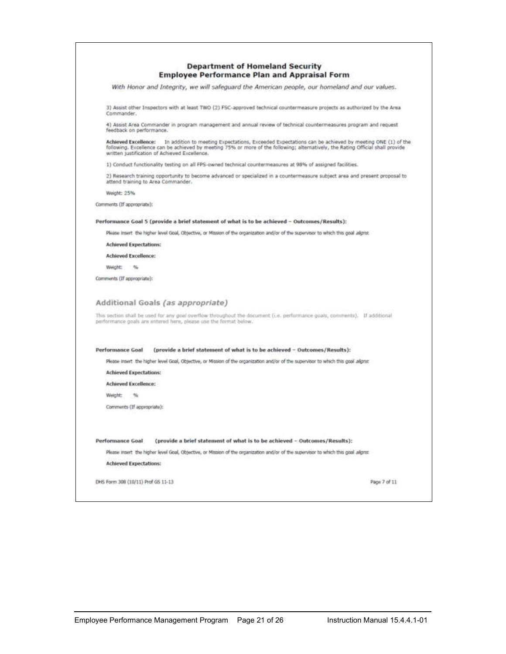| <b>Department of Homeland Security</b><br><b>Employee Performance Plan and Appraisal Form</b>                                                                                                                                                                                                                 |  |
|---------------------------------------------------------------------------------------------------------------------------------------------------------------------------------------------------------------------------------------------------------------------------------------------------------------|--|
| With Honor and Integrity, we will safeguard the American people, our homeland and our values.                                                                                                                                                                                                                 |  |
| 3) Assist other Inspectors with at least TWO (2) FSC-approved technical countermeasure projects as authorized by the Area<br>Commander.                                                                                                                                                                       |  |
| 4) Assist Area Commander in program management and annual review of technical countermeasures program and request<br>feedback on performance.                                                                                                                                                                 |  |
| Achieved Excellence: In addition to meeting Expectations, Exceeded Expectations can be achieved by meeting ONE (1) of the<br>following. Excellence can be achieved by meeting 75% or more of the following; alternatively, the Rating Official shall provide<br>written justification of Achieved Excellence. |  |
| 1) Conduct functionality testing on all FPS-owned technical countermeasures at 98% of assigned facilities.                                                                                                                                                                                                    |  |
| 2) Research training opportunity to become advanced or specialized in a countermeasure subject area and present proposal to<br>attend training to Area Commander.                                                                                                                                             |  |
| Weight: 25%                                                                                                                                                                                                                                                                                                   |  |
| Comments (If appropriate):                                                                                                                                                                                                                                                                                    |  |
| Performance Goal 5 (provide a brief statement of what is to be achieved - Outcomes/Results):                                                                                                                                                                                                                  |  |
| Please insert the higher level Goal, Objective, or Mission of the organization and/or of the supervisor to which this goal aligns:                                                                                                                                                                            |  |
| <b>Achieved Expectations:</b>                                                                                                                                                                                                                                                                                 |  |
| <b>Achieved Excellence:</b>                                                                                                                                                                                                                                                                                   |  |
| Weight:<br>$-26$                                                                                                                                                                                                                                                                                              |  |
| Comments (If appropriate):                                                                                                                                                                                                                                                                                    |  |
| Additional Goals (as appropriate)                                                                                                                                                                                                                                                                             |  |
| This section shall be used for any goal overflow throughout the document (i.e. performance goals, comments). If additional<br>performance goals are entered here, please use the format below.                                                                                                                |  |
| <b>Performance Goal</b><br>(provide a brief statement of what is to be achieved - Outcomes/Results):                                                                                                                                                                                                          |  |
| Please insert: the higher level Goal, Objective, or Mission of the organization and/or of the supervisor to which this goal allons:                                                                                                                                                                           |  |
| <b>Achieved Expectations:</b>                                                                                                                                                                                                                                                                                 |  |
| <b>Achieved Excellence:</b>                                                                                                                                                                                                                                                                                   |  |
| Weight:                                                                                                                                                                                                                                                                                                       |  |
| Comments (If appropriate):                                                                                                                                                                                                                                                                                    |  |
| <b>Performance Goal</b><br>(provide a brief statement of what is to be achieved - Outcomes/Results):                                                                                                                                                                                                          |  |
| Please insert the higher level Goal, Objective, or Mission of the organization and/or of the supervisor to which this goal aligns:                                                                                                                                                                            |  |
| <b>Achieved Expectations:</b>                                                                                                                                                                                                                                                                                 |  |
|                                                                                                                                                                                                                                                                                                               |  |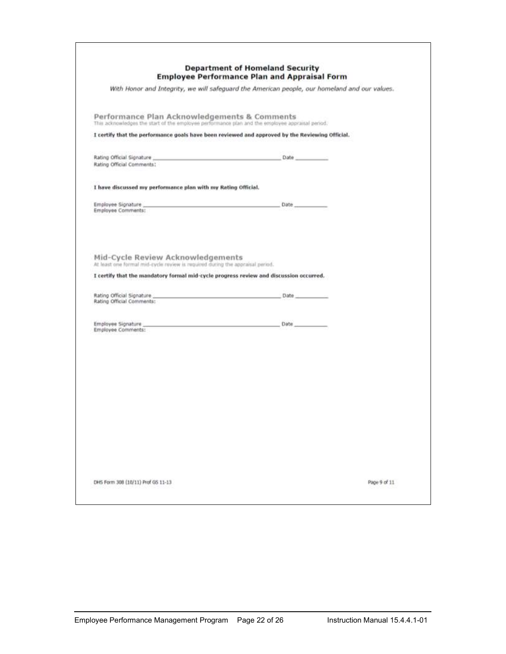| With Honor and Integrity, we will safeguard the American people, our homeland and our values.                                                   |  |
|-------------------------------------------------------------------------------------------------------------------------------------------------|--|
|                                                                                                                                                 |  |
| Performance Plan Acknowledgements & Comments<br>This acknowledges the start of the employee performance plan and the employee appraisal period. |  |
| I certify that the performance goals have been reviewed and approved by the Reviewing Official.                                                 |  |
|                                                                                                                                                 |  |
| Rating Official Comments:                                                                                                                       |  |
| I have discussed my performance plan with my Rating Official.                                                                                   |  |
| Employee Comments:                                                                                                                              |  |
|                                                                                                                                                 |  |
|                                                                                                                                                 |  |
| Mid-Cycle Review Acknowledgements<br>At least one formal mid-cycle review is required during the appraisal period.                              |  |
| I certify that the mandatory formal mid-cycle progress review and discussion occurred.                                                          |  |
|                                                                                                                                                 |  |
| Rating Official Comments:                                                                                                                       |  |
| Employee Comments:                                                                                                                              |  |
|                                                                                                                                                 |  |
|                                                                                                                                                 |  |
|                                                                                                                                                 |  |
|                                                                                                                                                 |  |
|                                                                                                                                                 |  |
|                                                                                                                                                 |  |
|                                                                                                                                                 |  |
|                                                                                                                                                 |  |
|                                                                                                                                                 |  |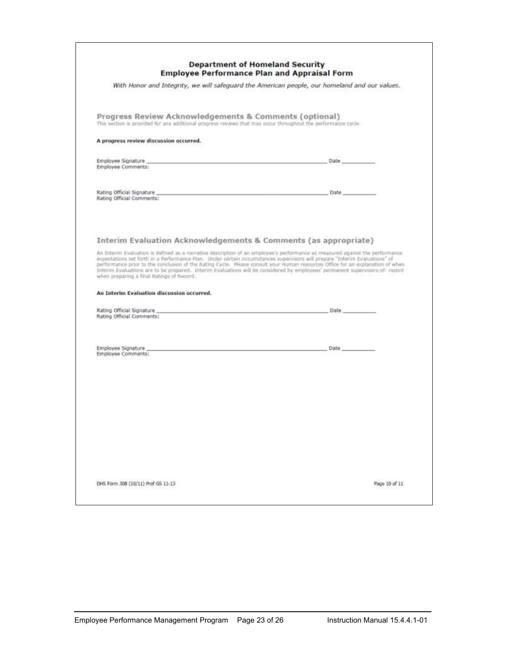|                                                                                                                                                                                                                                                                                                                                                                                                                                                                                                 | <b>Employee Performance Plan and Appraisal Form</b>                                           |
|-------------------------------------------------------------------------------------------------------------------------------------------------------------------------------------------------------------------------------------------------------------------------------------------------------------------------------------------------------------------------------------------------------------------------------------------------------------------------------------------------|-----------------------------------------------------------------------------------------------|
|                                                                                                                                                                                                                                                                                                                                                                                                                                                                                                 | With Honor and Integrity, we will safeguard the American people, our homeland and our values. |
| Progress Review Acknowledgements & Comments (optional)<br>This section in provided for any additional progress reviews that may occur throughout the performance cycle.                                                                                                                                                                                                                                                                                                                         |                                                                                               |
| A progress review discussion occurred.                                                                                                                                                                                                                                                                                                                                                                                                                                                          |                                                                                               |
| Employee Comments:                                                                                                                                                                                                                                                                                                                                                                                                                                                                              |                                                                                               |
|                                                                                                                                                                                                                                                                                                                                                                                                                                                                                                 |                                                                                               |
| Rating Official Comments:                                                                                                                                                                                                                                                                                                                                                                                                                                                                       |                                                                                               |
| Interim Evaluation Acknowledgements & Comments (as appropriate)                                                                                                                                                                                                                                                                                                                                                                                                                                 |                                                                                               |
|                                                                                                                                                                                                                                                                                                                                                                                                                                                                                                 |                                                                                               |
|                                                                                                                                                                                                                                                                                                                                                                                                                                                                                                 |                                                                                               |
|                                                                                                                                                                                                                                                                                                                                                                                                                                                                                                 |                                                                                               |
|                                                                                                                                                                                                                                                                                                                                                                                                                                                                                                 |                                                                                               |
|                                                                                                                                                                                                                                                                                                                                                                                                                                                                                                 |                                                                                               |
| An Interim Evaluation is defined as a narrative description of an employee's performance as measured against the performance<br>when preparing a final Ratings of Record.                                                                                                                                                                                                                                                                                                                       |                                                                                               |
| expectations set forth in a Performance Plan. Under certain circumstances supervisors will prepare "Interim Evaluations" of<br>performance prior to the conclusion of the Rating Cycle. Please consult your Human resources Office for an explanation of when<br>Interim Evaluations are to be prepared. Interim Evaluations will be considered by employees' permanent supervisors-of- record<br>An Interim Evaluation discussion occurred.<br>Rating Official Comments:<br>Employee Comments: |                                                                                               |
|                                                                                                                                                                                                                                                                                                                                                                                                                                                                                                 |                                                                                               |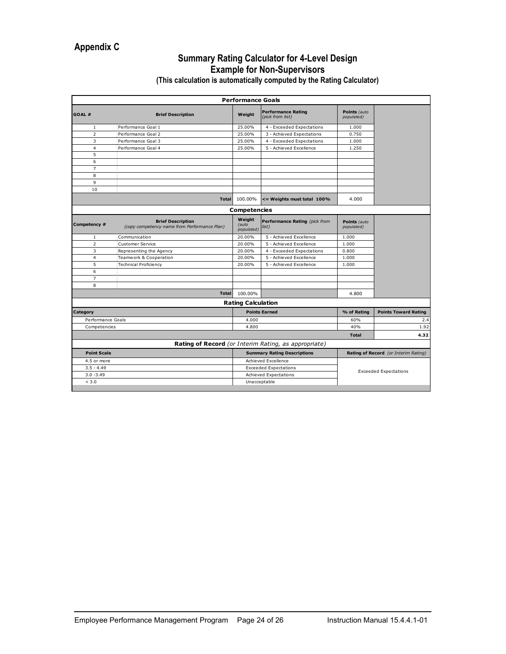#### **Summary Rating Calculator for 4-Level Design Example for Non-Supervisors**

|                    |                                                                          | <b>Performance Goals</b>      |                                                      |                              |                                      |
|--------------------|--------------------------------------------------------------------------|-------------------------------|------------------------------------------------------|------------------------------|--------------------------------------|
| GOAL#              | <b>Brief Description</b>                                                 | Weight                        | <b>Performance Rating</b><br>(pick from list)        | Points (auto<br>populated)   |                                      |
| 1                  | Performance Goal 1                                                       | 25.00%                        | 4 - Exceeded Expectations                            | 1.000                        |                                      |
| $\overline{2}$     | Performance Goal 2                                                       | 25.00%                        | 3 - Achieved Expectations                            | 0.750                        |                                      |
| 3                  | Performance Goal 3                                                       | 25.00%                        | 4 - Exceeded Expectations                            | 1.000                        |                                      |
| $\overline{4}$     | Performance Goal 4                                                       | 25.00%                        | 5 - Achieved Excellence                              | 1.250                        |                                      |
| 5                  |                                                                          |                               |                                                      |                              |                                      |
| 6                  |                                                                          |                               |                                                      |                              |                                      |
| $\overline{7}$     |                                                                          |                               |                                                      |                              |                                      |
| 8                  |                                                                          |                               |                                                      |                              |                                      |
| 9                  |                                                                          |                               |                                                      |                              |                                      |
| 10                 |                                                                          |                               |                                                      |                              |                                      |
|                    | <b>Total</b>                                                             | 100.00%                       | <= Weights must total 100%                           | 4.000                        |                                      |
|                    |                                                                          | Competencies                  |                                                      |                              |                                      |
| Competency #       | <b>Brief Description</b><br>(copy competency name from Performance Plan) | Weight<br>(auto<br>populated) | Performance Rating (pick from<br>list)               | Points (auto<br>populated)   |                                      |
| 1                  | Communication                                                            | 20.00%                        | 5 - Achieved Excellence                              | 1.000                        |                                      |
| $\overline{2}$     | <b>Customer Service</b>                                                  | 20.00%                        | 5 - Achieved Excellence                              | 1.000                        |                                      |
| 3                  | Representing the Agency                                                  | 20.00%                        | 4 - Exceeded Expectations                            | 0.800                        |                                      |
| $\overline{4}$     | Teamwork & Cooperation                                                   | 20.00%                        | 5 - Achieved Excellence                              | 1.000                        |                                      |
| 5                  | <b>Technical Proficiency</b>                                             | 20.00%                        | 5 - Achieved Excellence                              | 1.000                        |                                      |
| 6                  |                                                                          |                               |                                                      |                              |                                      |
| $\overline{7}$     |                                                                          |                               |                                                      |                              |                                      |
| 8                  |                                                                          |                               |                                                      |                              |                                      |
|                    | <b>Total</b>                                                             | 100.00%                       |                                                      | 4.800                        |                                      |
|                    |                                                                          | <b>Rating Calculation</b>     |                                                      |                              |                                      |
| Category           |                                                                          |                               | <b>Points Earned</b>                                 | % of Rating                  | <b>Points Toward Rating</b>          |
| Performance Goals  |                                                                          | 4.000                         |                                                      | 60%                          | 2.4                                  |
| Competencies       |                                                                          | 4.800                         |                                                      | 40%                          | 1.92                                 |
|                    |                                                                          |                               |                                                      | <b>Total</b>                 | 4.32                                 |
|                    |                                                                          |                               | Rating of Record (or Interim Rating, as appropriate) |                              |                                      |
| <b>Point Scale</b> |                                                                          |                               | <b>Summary Rating Descriptions</b>                   |                              | Rating of Record (or Interim Rating) |
| 4.5 or more        |                                                                          |                               | Achieved Excellence                                  |                              |                                      |
| $3.5 - 4.49$       |                                                                          |                               | <b>Exceeded Expectations</b>                         |                              |                                      |
| $3.0 - 3.49$       |                                                                          |                               | Achieved Expectations                                | <b>Exceeded Expectations</b> |                                      |
| < 3.0              |                                                                          |                               | Unacceptable                                         |                              |                                      |
|                    |                                                                          |                               |                                                      |                              |                                      |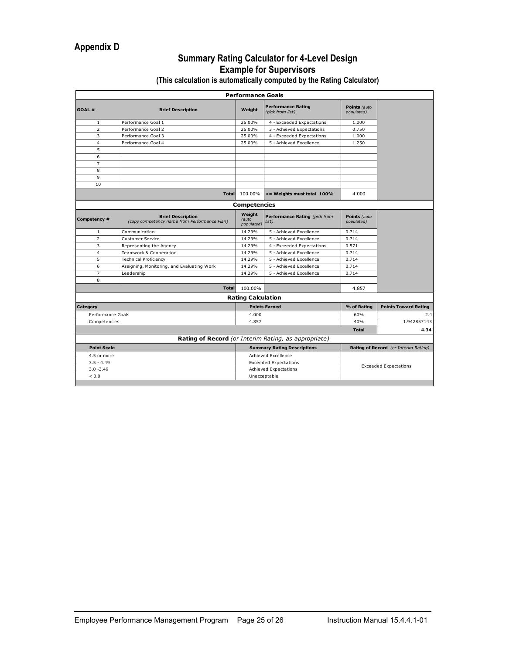#### **Summary Rating Calculator for 4-Level Design Example for Supervisors**

**(This calculation is automatically computed by the Rating Calculator)**

|                    |                                                                          | <b>Performance Goals</b>      |                                                      |                            |                                      |
|--------------------|--------------------------------------------------------------------------|-------------------------------|------------------------------------------------------|----------------------------|--------------------------------------|
| GOAL#              | <b>Brief Description</b>                                                 | Weight                        | <b>Performance Rating</b><br>(pick from list)        | Points (auto<br>populated) |                                      |
| $\mathbf{1}$       | Performance Goal 1                                                       | 25.00%                        | 4 - Exceeded Expectations                            | 1.000                      |                                      |
| $\overline{2}$     | Performance Goal 2                                                       | 25.00%                        | 3 - Achieved Expectations                            | 0.750                      |                                      |
| 3                  | Performance Goal 3                                                       | 25.00%                        | 4 - Exceeded Expectations                            | 1.000                      |                                      |
| $\overline{4}$     | Performance Goal 4                                                       | 25.00%                        | 5 - Achieved Excellence                              | 1.250                      |                                      |
| 5                  |                                                                          |                               |                                                      |                            |                                      |
| 6                  |                                                                          |                               |                                                      |                            |                                      |
| $\overline{7}$     |                                                                          |                               |                                                      |                            |                                      |
| 8                  |                                                                          |                               |                                                      |                            |                                      |
| 9                  |                                                                          |                               |                                                      |                            |                                      |
| 10                 |                                                                          |                               |                                                      |                            |                                      |
|                    | <b>Total</b>                                                             | 100.00%                       | <= Weights must total 100%                           | 4.000                      |                                      |
|                    |                                                                          | Competencies                  |                                                      |                            |                                      |
| Competency #       | <b>Brief Description</b><br>(copy competency name from Performance Plan) | Weight<br>(auto<br>populated) | Performance Rating (pick from<br>list)               | Points (auto<br>populated) |                                      |
| $\mathbf{1}$       | Communication                                                            | 14.29%                        | 5 - Achieved Excellence                              | 0.714                      |                                      |
| $\overline{2}$     | Customer Service                                                         | 14.29%                        | 5 - Achieved Excellence                              | 0.714                      |                                      |
| 3                  | Representing the Agency                                                  | 14.29%                        | 4 - Exceeded Expectations                            | 0.571                      |                                      |
| $\overline{4}$     | Teamwork & Cooperation                                                   | 14.29%                        | 5 - Achieved Excellence                              | 0.714                      |                                      |
| 5                  | <b>Technical Proficiency</b>                                             | 14.29%                        | 5 - Achieved Excellence                              | 0.714                      |                                      |
| 6                  | Assigning, Monitoring, and Evaluating Work                               | 14.29%                        | 5 - Achieved Excellence                              | 0.714                      |                                      |
| $\overline{7}$     | Leadership                                                               | 14.29%                        | 5 - Achieved Excellence                              | 0.714                      |                                      |
| 8                  |                                                                          |                               |                                                      |                            |                                      |
|                    | <b>Total</b>                                                             | 100.00%                       |                                                      | 4.857                      |                                      |
|                    |                                                                          | <b>Rating Calculation</b>     |                                                      |                            |                                      |
| Category           |                                                                          |                               | <b>Points Earned</b>                                 | % of Rating                | <b>Points Toward Rating</b>          |
| Performance Goals  |                                                                          | 4.000                         |                                                      | 60%                        | 2.4                                  |
| Competencies       |                                                                          | 4.857                         |                                                      | 40%                        | 1.942857143                          |
|                    |                                                                          |                               |                                                      | <b>Total</b>               | 4.34                                 |
|                    |                                                                          |                               | Rating of Record (or Interim Rating, as appropriate) |                            |                                      |
| <b>Point Scale</b> |                                                                          |                               | <b>Summary Rating Descriptions</b>                   |                            | Rating of Record (or Interim Rating) |
| 4.5 or more        |                                                                          |                               | Achieved Excellence                                  |                            |                                      |
| $3.5 - 4.49$       |                                                                          |                               | <b>Exceeded Expectations</b>                         |                            |                                      |
| $3.0 - 3.49$       |                                                                          |                               | Achieved Expectations                                |                            | <b>Exceeded Expectations</b>         |
| < 3.0              |                                                                          |                               | Unacceptable                                         |                            |                                      |
|                    |                                                                          |                               |                                                      |                            |                                      |